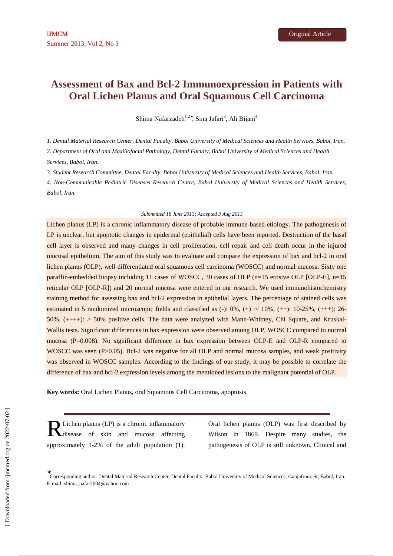# **Assessment of Bax and Bcl-2 Immunoexpression in Patients with Oral Lichen Planus and Oral Squamous Cell Carcinoma**

Shima Nafarzadeh<sup>1,2∗</sup>, Sina Jafari<sup>3</sup>, Ali Bijani<sup>4</sup>

*1. Dental Material Research Center, Dental Faculty, Babol University of Medical Sciences and Health Services, Babol, Iran.* 

*2. Department of Oral and Maxillofacial Pathology, Dental Faculty, Babol University of Medical Sciences and Health Services, Babol, Iran.* 

*3. Student Research Committee, Dental Faculty, Babol University of Medical Sciences and Health Services, Babol, Iran.* 

*4. Non-Communicable Pediatric Diseases Research Centre, Babol University of Medical Sciences and Health Services, Babol, Iran.* 

#### *Submmited 18 June 2013; Accepted 3 Aug 2013*

Lichen planus (LP) is a chronic inflammatory disease of probable immune-based etiology. The pathogenesis of LP is unclear, but apoptotic changes in epidermal (epithelial) cells have been reported. Destruction of the basal cell layer is observed and many changes in cell proliferation, cell repair and cell death occur in the injured mucosal epithelium. The aim of this study was to evaluate and compare the expression of bax and bcl-2 in oral lichen planus (OLP), well differentiated oral squamous cell carcinoma (WOSCC) and normal mucosa. Sixty one paraffin-embedded biopsy including 11 cases of WOSCC, 30 cases of OLP (n=15 erosive OLP [OLP-E], n=15 reticular OLP [OLP-R]) and 20 normal mucosa were entered in our research. We used immunohistochemistry staining method for assessing bax and bcl-2 expression in epithelial layers. The percentage of stained cells was estimated in 5 randomized microscopic fields and classified as  $(-)$ :  $0\%$ ,  $(+)$ :  $\lt 10\%$ ,  $(+)$ :  $10\text{-}25\%$ ,  $(++)$ : 26-50%, (++++): > 50% positive cells. The data were analyzed with Mann-Whitney, Chi Square, and Kruskal-Wallis tests. Significant differences in bax expression were observed among OLP, WOSCC compared to normal mucosa (P=0.008). No significant difference in bax expression between OLP-E and OLP-R compared to WOSCC was seen (P>0.05). Bcl-2 was negative for all OLP and normal mucosa samples, and weak positivity was observed in WOSCC samples. According to the findings of our study, it may be possible to correlate the difference of bax and bcl-2 expression levels among the mentioned lesions to the malignant potential of OLP.

**Key words:** Oral Lichen Planus, oral Squamous Cell Carcinoma, apoptosis

R Lichen planus (LP) is a chronic inflammatory<br>disease of skin and mucosa affecting disease of skin and mucosa affecting approximately 1-2% of the adult population (1).

Oral lichen planus (OLP) was first described by Wilson in 1869. Despite many studies, the pathogenesis of OLP is still unknown. Clinical and

-

<sup>∗</sup> Corresponding author: Dental Material Research Center, Dental Faculty, Babol University of Medical Sciences, Ganjafrooz St, Babol, Iran. E-mail: shima\_nafar2004@yahoo.com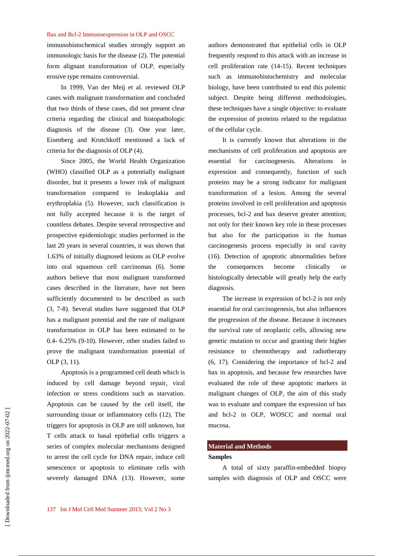#### Bax and Bcl-2 Immunoexpression in OLP and OSCC

immunohistochemical studies strongly support an immunologic basis for the disease (2). The potential form alignant transformation of OLP, especially erosive type remains controversial.

In 1999, Van der Meij et al. reviewed OLP cases with malignant transformation and concluded that two thirds of these cases, did not present clear criteria regarding the clinical and histopathologic diagnosis of the disease (3). One year later, Eisenberg and Krutchkoff mentioned a lack of criteria for the diagnosis of OLP (4).

Since 2005, the World Health Organization (WHO) classified OLP as a potentially malignant disorder, but it presents a lower risk of malignant transformation compared to leukoplakia and erythroplakia (5). However, such classification is not fully accepted because it is the target of countless debates. Despite several retrospective and prospective epidemiologic studies performed in the last 20 years in several countries, it was shown that 1.63% of initially diagnosed lesions as OLP evolve into oral squamous cell carcinomas (6). Some authors believe that most malignant transformed cases described in the literature, have not been sufficiently documented to be described as such (3, 7-8). Several studies have suggested that OLP has a malignant potential and the rate of malignant transformation in OLP has been estimated to be 0.4- 6.25% (9-10). However, other studies failed to prove the malignant transformation potential of OLP (3, 11).

Apoptosis is a programmed cell death which is induced by cell damage beyond repair, viral infection or stress conditions such as starvation. Apoptosis can be caused by the cell itself, the surrounding tissue or inflammatory cells (12). The triggers for apoptosis in OLP are still unknown, but T cells attack to basal epithelial cells triggers a series of complex molecular mechanisms designed to arrest the cell cycle for DNA repair, induce cell senescence or apoptosis to eliminate cells with severely damaged DNA (13). However, some

authors demonstrated that epithelial cells in OLP frequently respond to this attack with an increase in cell proliferation rate (14-15). Recent techniques such as immunohistochemistry and molecular biology, have been contributed to end this polemic subject. Despite being different methodologies, these techniques have a single objective: to evaluate the expression of proteins related to the regulation of the cellular cycle.

It is currently known that alterations in the mechanisms of cell proliferation and apoptosis are essential for carcinogenesis. Alterations expression and consequently, function of such proteins may be a strong indicator for malignant transformation of a lesion. Among the several proteins involved in cell proliferation and apoptosis processes, bcl-2 and bax deserve greater attention; not only for their known key role in these processes but also for the participation in the human carcinogenesis process especially in oral cavity (16). Detection of apoptotic abnormalities before the consequences become clinically or histologically detectable will greatly help the early diagnosis.

The increase in expression of bcl-2 is not only essential for oral carcinogenesis, but also influences the progression of the disease. Because it increases the survival rate of neoplastic cells, allowing new genetic mutation to occur and granting their higher resistance to chemotherapy and radiotherapy (6, 17). Considering the importance of bcl-2 and bax in apoptosis, and because few researches have evaluated the role of these apoptotic markers in malignant changes of OLP, the aim of this study was to evaluate and compare the expression of bax and bcl-2 in OLP, WOSCC and normal oral mucosa.

## **Material and Methods**

## **Samples**

A total of sixty paraffin-embedded biopsy samples with diagnosis of OLP and OSCC were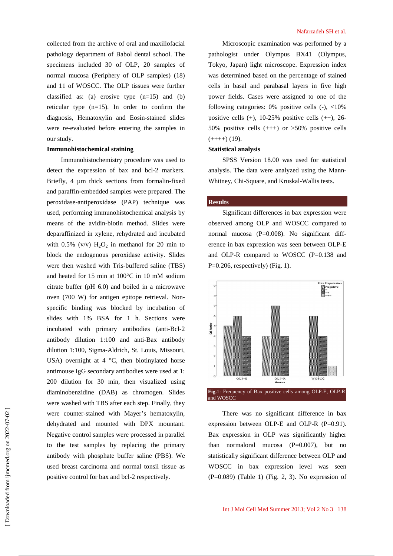collected from the archive of oral and maxillofacial pathology department of Babol dental school. The specimens included 30 of OLP, 20 samples of normal mucosa (Periphery of OLP samples) (18) and 11 of WOSCC. The OLP tissues were further classified as: (a) erosive type  $(n=15)$  and (b) reticular type (n=15). In order to confirm the diagnosis, Hematoxylin and Eosin-stained slides were re-evaluated before entering the samples in our study.

#### **Immunohistochemical staining**

Immunohistochemistry procedure was used to detect the expression of bax and bcl-2 markers. Briefly, 4  $\mu$ m thick sections from formalin-fixed and paraffin-embedded samples were prepared. The peroxidase-antiperoxidase (PAP) technique was used, performing immunohistochemical analysis by means of the avidin-biotin method. Slides were deparaffinized in xylene, rehydrated and incubated with  $0.5\%$  (v/v)  $H_2O_2$  in methanol for 20 min to block the endogenous peroxidase activity. Slides were then washed with Tris-buffered saline (TBS) and heated for 15 min at 100°C in 10 mM sodium citrate buffer (pH 6.0) and boiled in a microwave oven (700 W) for antigen epitope retrieval. Nonspecific binding was blocked by incubation of slides with 1% BSA for 1 h. Sections were incubated with primary antibodies (anti-Bcl-2 antibody dilution 1:100 and anti-Bax antibody dilution 1:100, Sigma-Aldrich, St. Louis, Missouri, USA) overnight at  $4^{\circ}$ C, then biotinylated horse antimouse IgG secondary antibodies were used at 1: 200 dilution for 30 min, then visualized using diaminobenzidine (DAB) as chromogen. Slides were washed with TBS after each step. Finally, they were counter-stained with Mayer's hematoxylin, dehydrated and mounted with DPX mountant. Negative control samples were processed in parallel to the test samples by replacing the primary antibody with phosphate buffer saline (PBS). We used breast carcinoma and normal tonsil tissue as positive control for bax and bcl-2 respectively.

Microscopic examination was performed by a pathologist under Olympus BX41 (Olympus, Tokyo, Japan) light microscope. Expression index was determined based on the percentage of stained cells in basal and parabasal layers in five high power fields. Cases were assigned to one of the following categories:  $0\%$  positive cells  $(-)$ ,  $\lt 10\%$ positive cells  $(+)$ , 10-25% positive cells  $(+)$ , 26-50% positive cells  $(+++)$  or  $>50\%$  positive cells  $(+++)$  (19).

## **Statistical analysis**

SPSS Version 18.00 was used for statistical analysis. The data were analyzed using the Mann-Whitney, Chi-Square, and Kruskal-Wallis tests.

#### **Results**

Significant differences in bax expression were observed among OLP and WOSCC compared to normal mucosa (P=0.008). No significant difference in bax expression was seen between OLP-E and OLP-R compared to WOSCC (P=0.138 and P=0.206, respectively) (Fig. 1).



There was no significant difference in bax expression between OLP-E and OLP-R  $(P=0.91)$ . Bax expression in OLP was significantly higher than normaloral mucosa  $(P=0.007)$ , but no statistically significant difference between OLP and WOSCC in bax expression level was seen (P=0.089) (Table 1) (Fig. 2, 3). No expression of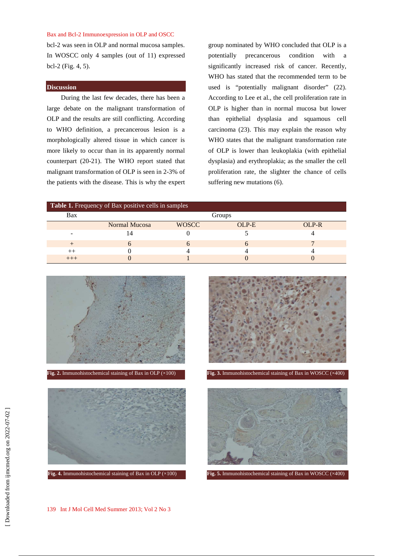#### Bax and Bcl-2 Immunoexpression in OLP and OSCC

bcl-2 was seen in OLP and normal mucosa samples. In WOSCC only 4 samples (out of 11) expressed bcl-2 (Fig. 4, 5).

#### **Discussion**

During the last few decades, there has been a large debate on the malignant transformation of OLP and the results are still conflicting. According to WHO definition, a precancerous lesion is a morphologically altered tissue in which cancer is more likely to occur than in its apparently normal counterpart (20-21). The WHO report stated that malignant transformation of OLP is seen in 2-3% of the patients with the disease. This is why the expert group nominated by WHO concluded that OLP is a potentially precancerous condition with a significantly increased risk of cancer. Recently, WHO has stated that the recommended term to be used is "potentially malignant disorder" (22). According to Lee et al., the cell proliferation rate in OLP is higher than in normal mucosa but lower than epithelial dysplasia and squamous cell carcinoma (23). This may explain the reason why WHO states that the malignant transformation rate of OLP is lower than leukoplakia (with epithelial dysplasia) and erythroplakia; as the smaller the cell proliferation rate, the slighter the chance of cells suffering new mutations (6).

| Table 1. Frequency of Bax positive cells in samples |               |              |       |       |
|-----------------------------------------------------|---------------|--------------|-------|-------|
| Bax                                                 | Groups        |              |       |       |
|                                                     | Normal Mucosa | <b>WOSCC</b> | OLP-E | OLP-R |
|                                                     |               |              |       |       |
|                                                     | n             |              |       |       |
|                                                     |               |              |       |       |
|                                                     |               |              |       |       |







**Fig. 2.** Immunohistochemical staining of Bax in OLP (×100) **Fig. 3.** Immunohistochemical staining of Bax in WOSCC (×400)

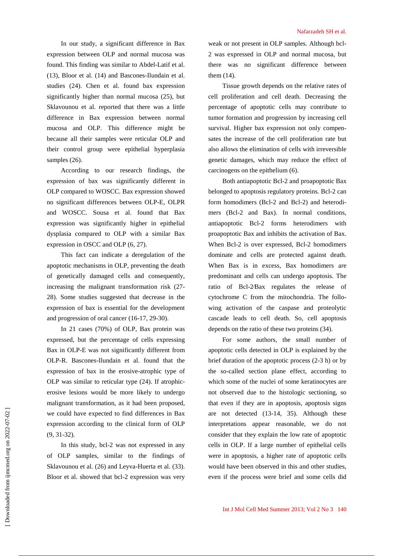In our study, a significant difference in Bax expression between OLP and normal mucosa was found. This finding was similar to Abdel-Latif et al. (13), Bloor et al. (14) and Bascones-Ilundain et al. studies (24). Chen et al. found bax expression significantly higher than normal mucosa (25), but Sklavounou et al. reported that there was a little difference in Bax expression between normal mucosa and OLP. This difference might be because all their samples were reticular OLP and their control group were epithelial hyperplasia samples  $(26)$ .

According to our research findings, the expression of bax was significantly different in OLP compared to WOSCC. Bax expression showed no significant differences between OLP-E, OLPR and WOSCC. Sousa et al. found that Bax expression was significantly higher in epithelial dysplasia compared to OLP with a similar Bax expression in OSCC and OLP (6, 27).

This fact can indicate a deregulation of the apoptotic mechanisms in OLP, preventing the death of genetically damaged cells and consequently, increasing the malignant transformation risk (27- 28). Some studies suggested that decrease in the expression of bax is essential for the development and progression of oral cancer (16-17, 29-30).

In 21 cases (70%) of OLP, Bax protein was expressed, but the percentage of cells expressing Bax in OLP-E was not significantly different from OLP-R. Bascones-Ilundain et al. found that the expression of bax in the erosive-atrophic type of OLP was similar to reticular type (24). If atrophicerosive lesions would be more likely to undergo malignant transformation, as it had been proposed, we could have expected to find differences in Bax expression according to the clinical form of OLP (9, 31-32).

In this study, bcl-2 was not expressed in any of OLP samples, similar to the findings of Sklavounou et al. (26) and Leyva-Huerta et al. (33). Bloor et al. showed that bcl-2 expression was very weak or not present in OLP samples. Although bcl-2 was expressed in OLP and normal mucosa, but there was no significant difference between them (14).

Tissue growth depends on the relative rates of cell proliferation and cell death. Decreasing the percentage of apoptotic cells may contribute to tumor formation and progression by increasing cell survival. Higher bax expression not only compensates the increase of the cell proliferation rate but also allows the elimination of cells with irreversible genetic damages, which may reduce the effect of carcinogens on the epithelium (6).

Both antiapoptotic Bcl-2 and proapoptotic Bax belonged to apoptosis regulatory proteins. Bcl-2 can form homodimers (Bcl-2 and Bcl-2) and heterodimers (Bcl-2 and Bax). In normal conditions, antiapoptotic Bcl-2 forms heterodimers with proapoptotic Bax and inhibits the activation of Bax. When Bcl-2 is over expressed, Bcl-2 homodimers dominate and cells are protected against death. When Bax is in excess, Bax homodimers are predominant and cells can undergo apoptosis. The ratio of Bcl-2⁄Bax regulates the release of cytochrome C from the mitochondria. The following activation of the caspase and proteolytic cascade leads to cell death. So, cell apoptosis depends on the ratio of these two proteins (34).

For some authors, the small number of apoptotic cells detected in OLP is explained by the brief duration of the apoptotic process (2-3 h) or by the so-called section plane effect, according to which some of the nuclei of some keratinocytes are not observed due to the histologic sectioning, so that even if they are in apoptosis, apoptosis signs are not detected (13-14, 35). Although these interpretations appear reasonable, we do not consider that they explain the low rate of apoptotic cells in OLP. If a large number of epithelial cells were in apoptosis, a higher rate of apoptotic cells would have been observed in this and other studies, even if the process were brief and some cells did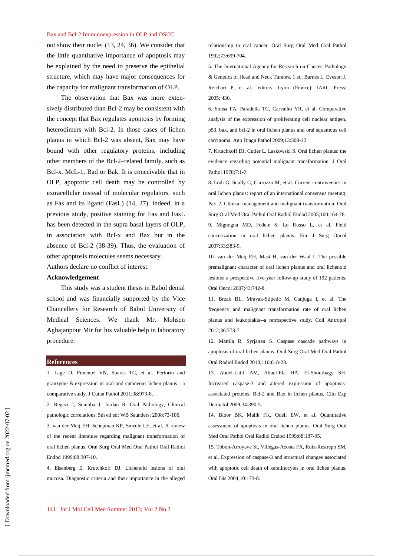#### Bax and Bcl-2 Immunoexpression in OLP and OSCC

not show their nuclei (13, 24, 36). We consider that the little quantitative importance of apoptosis may be explained by the need to preserve the epithelial structure, which may have major consequences for the capacity for malignant transformation of OLP.

The observation that Bax was more extensively distributed than Bcl-2 may be consistent with the concept that Bax regulates apoptosis by forming heterodimers with Bcl-2. In those cases of lichen planus in which Bcl-2 was absent, Bax may have bound with other regulatory proteins, including other members of the Bcl-2–related family, such as Bcl-x, McL-1, Bad or Bak. It is conceivable that in OLP, apoptotic cell death may be controlled by extracellular instead of molecular regulators, such as Fas and its ligand (FasL) (14, 37). Indeed, in a previous study, positive staining for Fas and FasL has been detected in the supra basal layers of OLP, in association with Bcl-x and Bax but in the absence of Bcl-2 (38-39). Thus, the evaluation of other apoptosis molecules seems necessary.

Authors declare no conflict of interest.

## **Acknowledgement**

This study was a student thesis in Babol dental school and was financially supported by the Vice Chancellery for Research of Babol University of Medical Sciences. We thank Mr. Mohsen Aghajanpour Mir for his valuable help in laboratory procedure.

#### **References**

1. Lage D, Pimentel VN, Soares TC, et al. Perforin and granzyme B expression in oral and cutaneous lichen planus - a comparative study. J Cutan Pathol 2011;38:973-8.

2. Regezi J, Sciubba J, Jordan R. Oral Pathology, Clinical pathologic correlations. 5th ed ed: WB Saunders; 2008:73-106. 3. van der Meij EH, Schepman KP, Smeele LE, et al. A review of the recent literature regarding malignant transformation of oral lichen planus. Oral Surg Oral Med Oral Pathol Oral Radiol Endod 1999;88:307-10.

4. Eisenberg E, Krutchkoff DJ. Lichenoid lesions of oral mucosa. Diagnostic criteria and their importance in the alleged

relationship to oral cancer. Oral Surg Oral Med Oral Pathol 1992;73:699-704.

5. The International Agency for Research on Cancer. Pathology & Genetics of Head and Neck Tumors. 1 ed. Barnes L, Eveson J, Reichart P, et al., editors. Lyon (France): IARC Press; 2005: 430.

6. Sousa FA, Paradella TC, Carvalho YR, et al. Comparative analysis of the expression of proliferating cell nuclear antigen, p53, bax, and bcl-2 in oral lichen planus and oral squamous cell carcinoma. Ann Diagn Pathol 2009;13:308-12.

7. Krutchkoff DJ, Cutler L, Laskowski S. Oral lichen planus: the evidence regarding potential malignant transformation. J Oral Pathol 1978;7:1-7.

8. Lodi G, Scully C, Carrozzo M, et al. Current controversies in oral lichen planus: report of an international consensus meeting. Part 2. Clinical management and malignant transformation. Oral Surg Oral Med Oral Pathol Oral Radiol Endod 2005;100:164-78. 9. Mignogna MD, Fedele S, Lo Russo L, et al. Field cancerization in oral lichen planus. Eur J Surg Oncol 2007;33:383-9.

10. van der Meij EH, Mast H, van der Waal I. The possible premalignant character of oral lichen planus and oral lichenoid lesions: a prospective five-year follow-up study of 192 patients. Oral Oncol 2007;43:742-8.

11. Brzak BL, Mravak-Stipetic M, Canjuga I, et al. The frequency and malignant transformation rate of oral lichen planus and leukoplakia--a retrospective study. Coll Antropol 2012;36:773-7.

12. Mattila R, Syrjanen S. Caspase cascade pathways in apoptosis of oral lichen planus. Oral Surg Oral Med Oral Pathol Oral Radiol Endod 2010;110:618-23.

13. Abdel-Latif AM, Abuel-Ela HA, El-Shourbagy SH. Increased caspase-3 and altered expression of apoptosisassociated proteins, Bcl-2 and Bax in lichen planus. Clin Exp Dermatol 2009;34:390-5.

14. Bloor BK, Malik FK, Odell EW, et al. Quantitative assessment of apoptosis in oral lichen planus. Oral Surg Oral Med Oral Pathol Oral Radiol Endod 1999;88:187-95.

15. Tobon-Arroyave SI, Villegas-Acosta FA, Ruiz-Restrepo SM, et al. Expression of caspase-3 and structural changes associated with apoptotic cell death of keratinocytes in oral lichen planus. Oral Dis 2004;10:173-8.